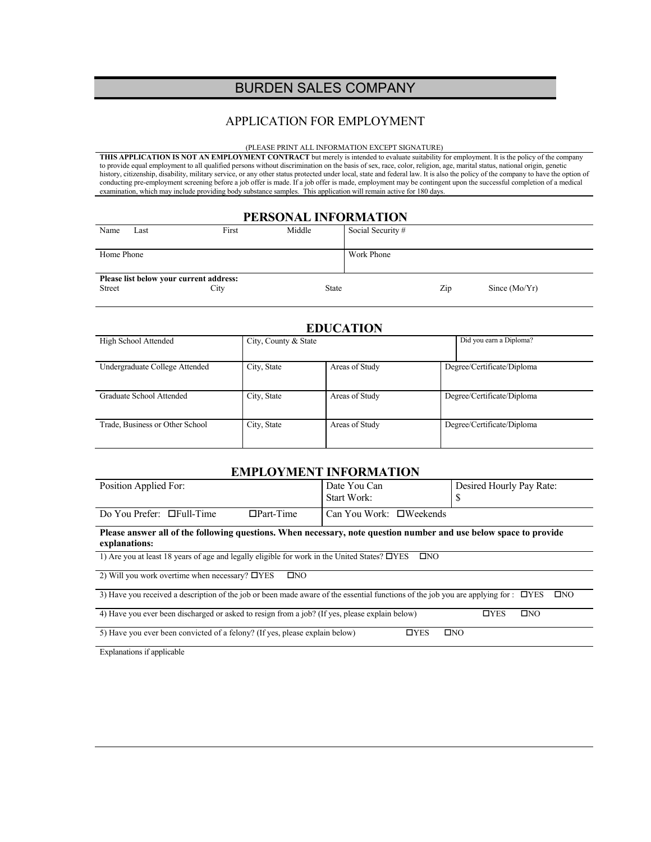# BURDEN SALES COMPANY

### APPLICATION FOR EMPLOYMENT

#### (PLEASE PRINT ALL INFORMATION EXCEPT SIGNATURE)

**THIS APPLICATION IS NOT AN EMPLOYMENT CONTRACT** but merely is intended to evaluate suitability for employment. It is the policy of the company to provide equal employment to all qualified persons without discrimination on the basis of sex, race, color, religion, age, marital status, national origin, genetic history, citizenship, disability, military service, or any other status protected under local, state and federal law. It is also the policy of the company to have the option of conducting pre-employment screening before a job offer is made. If a job offer is made, employment may be contingent upon the successful completion of a medical examination, which may include providing body substance samples. This application will remain active for 180 days.

#### **PERSONAL INFORMATION**

| Name                                    | Last | First | Middle       | Social Security #      |  |
|-----------------------------------------|------|-------|--------------|------------------------|--|
|                                         |      |       |              |                        |  |
| Home Phone                              |      |       |              | Work Phone             |  |
|                                         |      |       |              |                        |  |
| Please list below your current address: |      |       |              |                        |  |
| Street                                  |      | City  | <b>State</b> | Zip<br>Since $(Mo/Yr)$ |  |

#### **EDUCATION**

| High School Attended            | City, County & State |                | Did you earn a Diploma?    |
|---------------------------------|----------------------|----------------|----------------------------|
|                                 |                      |                |                            |
|                                 |                      |                |                            |
|                                 |                      |                |                            |
|                                 |                      |                |                            |
| Undergraduate College Attended  | City, State          | Areas of Study | Degree/Certificate/Diploma |
|                                 |                      |                |                            |
|                                 |                      |                |                            |
|                                 |                      |                |                            |
| Graduate School Attended        |                      | Areas of Study |                            |
|                                 | City, State          |                | Degree/Certificate/Diploma |
|                                 |                      |                |                            |
|                                 |                      |                |                            |
|                                 |                      |                |                            |
| Trade, Business or Other School | City, State          | Areas of Study | Degree/Certificate/Diploma |
|                                 |                      |                |                            |
|                                 |                      |                |                            |
|                                 |                      |                |                            |
|                                 |                      |                |                            |

### **EMPLOYMENT INFORMATION**

| Position Applied For:                                                                                                                                    |                  | Date You Can<br>Start Work:      | Desired Hourly Pay Rate:<br>S |  |  |  |
|----------------------------------------------------------------------------------------------------------------------------------------------------------|------------------|----------------------------------|-------------------------------|--|--|--|
| Do You Prefer: $\Box$ Full-Time                                                                                                                          | $\Box$ Part-Time | Can You Work: $\square$ Weekends |                               |  |  |  |
| Please answer all of the following questions. When necessary, note question number and use below space to provide<br>explanations:                       |                  |                                  |                               |  |  |  |
| 1) Are you at least 18 years of age and legally eligible for work in the United States? $\Box$ YES<br>$\square$ NO                                       |                  |                                  |                               |  |  |  |
| 2) Will you work overtime when necessary? $\Box$ YES<br>$\square$ NO                                                                                     |                  |                                  |                               |  |  |  |
| 3) Have you received a description of the job or been made aware of the essential functions of the job you are applying for : $\Box$ YES<br>$\square$ NO |                  |                                  |                               |  |  |  |
| 4) Have you ever been discharged or asked to resign from a job? (If yes, please explain below)<br>$\square$ NO<br>$\Box$ YES                             |                  |                                  |                               |  |  |  |
| 5) Have you ever been convicted of a felony? (If yes, please explain below)<br>$\Box$ YES<br>$\square$ NO                                                |                  |                                  |                               |  |  |  |
| Evalenctions if smalisable                                                                                                                               |                  |                                  |                               |  |  |  |

Explanations if applicable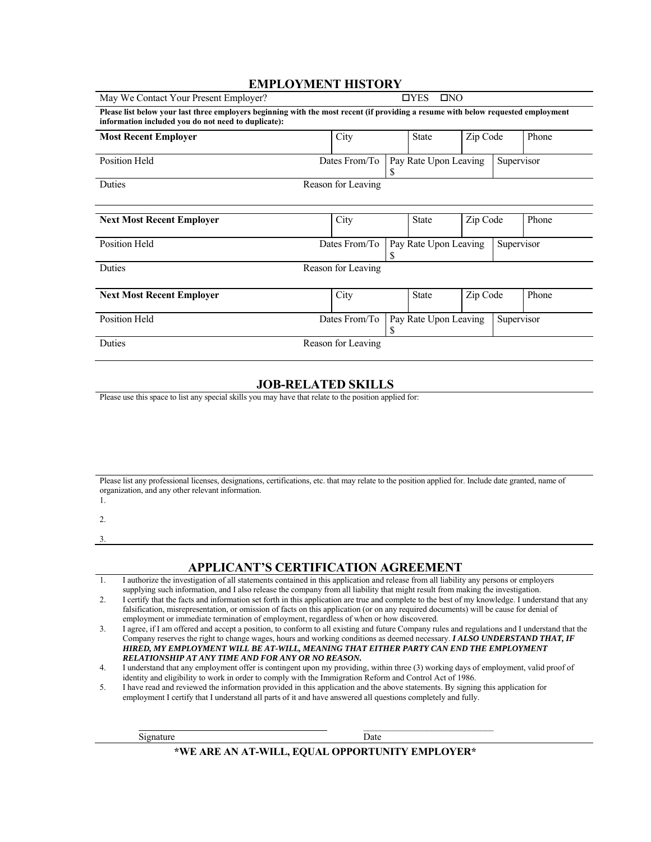## **EMPLOYMENT HISTORY**

| May We Contact Your Present Employer?<br>$\Box$ YES<br>$\square$ NO                                                                                                                      |                    |   |                            |          |            |       |
|------------------------------------------------------------------------------------------------------------------------------------------------------------------------------------------|--------------------|---|----------------------------|----------|------------|-------|
| Please list below your last three employers beginning with the most recent (if providing a resume with below requested employment<br>information included you do not need to duplicate): |                    |   |                            |          |            |       |
| <b>Most Recent Employer</b>                                                                                                                                                              | City               |   | <b>State</b>               | Zip Code |            | Phone |
| Position Held                                                                                                                                                                            | Dates From/To      |   | Pay Rate Upon Leaving<br>S |          | Supervisor |       |
| Duties                                                                                                                                                                                   | Reason for Leaving |   |                            |          |            |       |
| <b>Next Most Recent Employer</b>                                                                                                                                                         | City               |   | <b>State</b>               | Zip Code |            | Phone |
| Position Held                                                                                                                                                                            | Dates From/To      |   | Pay Rate Upon Leaving<br>S |          | Supervisor |       |
| Duties                                                                                                                                                                                   | Reason for Leaving |   |                            |          |            |       |
| <b>Next Most Recent Employer</b>                                                                                                                                                         | City               |   | <b>State</b>               | Zip Code |            | Phone |
| Position Held                                                                                                                                                                            | Dates From/To      | S | Pay Rate Upon Leaving      |          | Supervisor |       |
| Duties                                                                                                                                                                                   | Reason for Leaving |   |                            |          |            |       |

### **JOB-RELATED SKILLS**

Please use this space to list any special skills you may have that relate to the position applied for:

| Please list any professional licenses, designations, certifications, etc. that may relate to the position applied for. Include date granted, name of |
|------------------------------------------------------------------------------------------------------------------------------------------------------|
| organization, and any other relevant information.                                                                                                    |
|                                                                                                                                                      |

- 2.
- 

3.

### **APPLICANT'S CERTIFICATION AGREEMENT**

| I authorize the investigation of all statements contained in this application and release from all liability any persons or employers |
|---------------------------------------------------------------------------------------------------------------------------------------|
| supplying such information, and I also release the company from all liability that might result from making the investigation.        |

| <u>.</u> |  | I certify that the facts and information set forth in this application are true and complete to the best of my knowledge. I understand that any |  |  |
|----------|--|-------------------------------------------------------------------------------------------------------------------------------------------------|--|--|
|          |  | falsification, misrepresentation, or omission of facts on this application (or on any required documents) will be cause for denial of           |  |  |
|          |  | employment or immediate termination of employment, regardless of when or how discovered.                                                        |  |  |

| I agree, if I am offered and accept a position, to conform to all existing and future Company rules and regulations and I understand that the |
|-----------------------------------------------------------------------------------------------------------------------------------------------|
| Company reserves the right to change wages, hours and working conditions as deemed necessary. <b>I ALSO UNDERSTAND THAT, IF</b>               |
| HIRED. MY EMPLOYMENT WILL BE AT-WILL. MEANING THAT EITHER PARTY CAN END THE EMPLOYMENT                                                        |
| <b>RELATIONSHIP AT ANY TIME AND FOR ANY OR NO REASON.</b>                                                                                     |

4. I understand that any employment offer is contingent upon my providing, within three (3) working days of employment, valid proof of identity and eligibility to work in order to comply with the Immigration Reform and Control Act of 1986.

| I have read and reviewed the information provided in this application and the above statements. By signing this application for |
|---------------------------------------------------------------------------------------------------------------------------------|
| employment I certify that I understand all parts of it and have answered all questions completely and fully.                    |

| Date                                            |
|-------------------------------------------------|
| *WE ARE AN AT-WILL, EQUAL OPPORTUNITY EMPLOYER* |